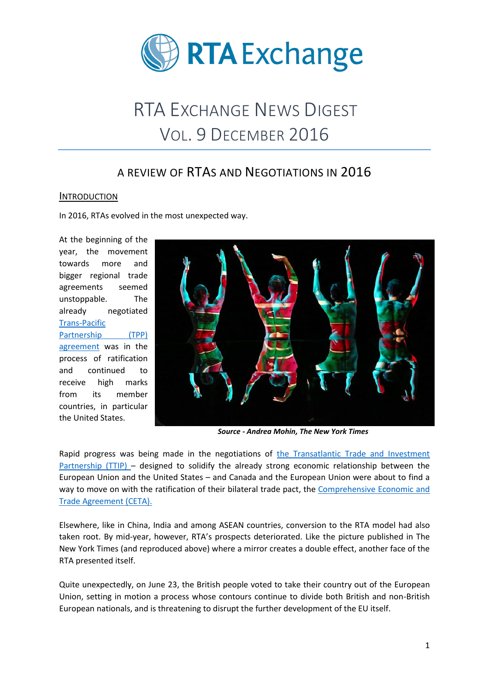

# RTA EXCHANGE NEWS DIGEST VOL. 9 DECEMBER 2016

# A REVIEW OF RTAS AND NEGOTIATIONS IN 2016

#### **INTRODUCTION**

In 2016, RTAs evolved in the most unexpected way.

At the beginning of the year, the movement towards more and bigger regional trade agreements seemed unstoppable. The already negotiated [Trans-Pacific](https://ustr.gov/tpp/)  Partnership (TPP) [agreement](https://ustr.gov/tpp/) was in the process of ratification and continued to receive high marks from its member countries, in particular the United States.



*Source - Andrea Mohin, The New York Times*

Rapid progress was being made in the negotiations of [the Transatlantic Trade and Investment](http://ec.europa.eu/trade/policy/in-focus/ttip/index_en.htm)  [Partnership \(TTIP\)](http://ec.europa.eu/trade/policy/in-focus/ttip/index_en.htm) – designed to solidify the already strong economic relationship between the European Union and the United States – and Canada and the European Union were about to find a way to move on with the ratification of their bilateral trade pact, the [Comprehensive Economic and](http://ec.europa.eu/trade/policy/in-focus/ceta/index_en.htm)  [Trade Agreement \(CETA\).](http://ec.europa.eu/trade/policy/in-focus/ceta/index_en.htm)

Elsewhere, like in China, India and among ASEAN countries, conversion to the RTA model had also taken root. By mid-year, however, RTA's prospects deteriorated. Like the picture published in The New York Times (and reproduced above) where a mirror creates a double effect, another face of the RTA presented itself.

Quite unexpectedly, on June 23, the British people voted to take their country out of the European Union, setting in motion a process whose contours continue to divide both British and non-British European nationals, and is threatening to disrupt the further development of the EU itself.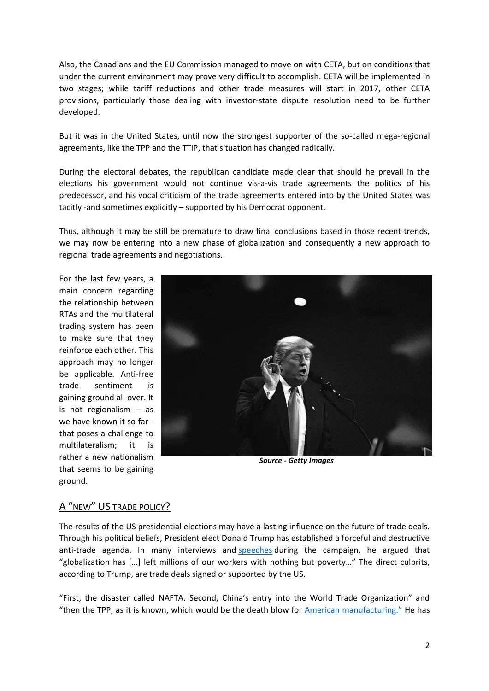Also, the Canadians and the EU Commission managed to move on with CETA, but on conditions that under the current environment may prove very difficult to accomplish. CETA will be implemented in two stages; while tariff reductions and other trade measures will start in 2017, other CETA provisions, particularly those dealing with investor-state dispute resolution need to be further developed.

But it was in the United States, until now the strongest supporter of the so-called mega-regional agreements, like the TPP and the TTIP, that situation has changed radically.

During the electoral debates, the republican candidate made clear that should he prevail in the elections his government would not continue vis-a-vis trade agreements the politics of his predecessor, and his vocal criticism of the trade agreements entered into by the United States was tacitly -and sometimes explicitly – supported by his Democrat opponent.

Thus, although it may be still be premature to draw final conclusions based in those recent trends, we may now be entering into a new phase of globalization and consequently a new approach to regional trade agreements and negotiations.

For the last few years, a main concern regarding the relationship between RTAs and the multilateral trading system has been to make sure that they reinforce each other. This approach may no longer be applicable. Anti-free trade sentiment is gaining ground all over. It is not regionalism – as we have known it so far that poses a challenge to multilateralism; it is rather a new nationalism that seems to be gaining ground.



*Source - Getty Images*

#### A "NEW" US TRADE POLICY?

The results of the US presidential elections may have a lasting influence on the future of trade deals. Through his political beliefs, President elect Donald Trump has established a forceful and destructive anti-trade agenda. In many interviews and [speeches](http://time.com/4386335/donald-trump-trade-speech-transcript/) during the campaign, he argued that "globalization has […] left millions of our workers with nothing but poverty…" The direct culprits, according to Trump, are trade deals signed or supported by the US.

"First, the disaster called NAFTA. Second, China's entry into the World Trade Organization" and "then the TPP, as it is known, which would be the death blow for [American manufact](http://time.com/4386335/donald-trump-trade-speech-transcript/)uring." He has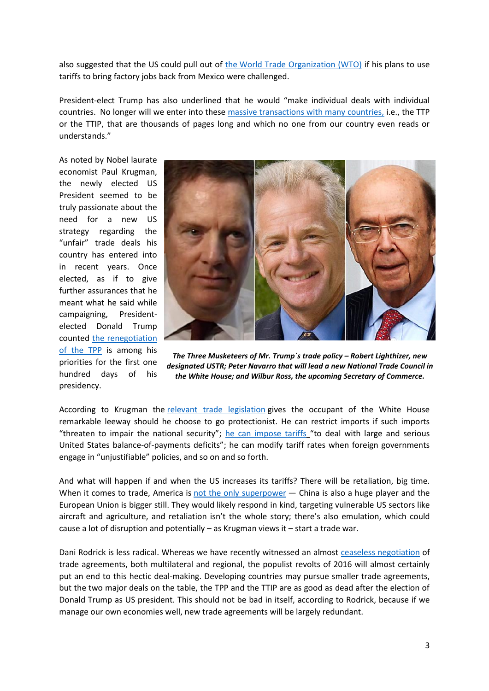also suggested that the US could pull out of the [World Trade Organization \(WTO\)](https://www.wto.org/) if his plans to use tariffs to bring factory jobs back from Mexico were challenged.

President-elect Trump has also underlined that he would "make individual deals with individual countries. No longer will we enter into these [massive transactions with many countries,](http://time.com/4386335/donald-trump-trade-speech-transcript/) i.e., the TTP or the TTIP, that are thousands of pages long and which no one from our country even reads or understands."

As noted by Nobel laurate economist Paul Krugman, the newly elected US President seemed to be truly passionate about the need for a new US strategy regarding the "unfair" trade deals his country has entered into in recent years. Once elected, as if to give further assurances that he meant what he said while campaigning, Presidentelected Donald Trump counted [the renegotiation](http://www.nytimes.com/2016/12/26/opinion/and-the-trade-war-came.html?ribbon-ad-idx=4&rref=opinion&module=Ribbon&version=context®ion=Header&action=click&contentCollection=Opinion&pgtype=article&_r=0)  [of the TPP](http://www.nytimes.com/2016/12/26/opinion/and-the-trade-war-came.html?ribbon-ad-idx=4&rref=opinion&module=Ribbon&version=context®ion=Header&action=click&contentCollection=Opinion&pgtype=article&_r=0) is among his priorities for the first one hundred days of his presidency.



*The Three Musketeers of Mr. Trump´s trade policy – Robert Lighthizer, new designated USTR; Peter Navarro that will lead a new National Trade Council in the White House; and Wilbur Ross, the upcoming Secretary of Commerce.* 

According to Krugman the [relevant trade legislation](https://fas.org/sgp/crs/misc/R44707.pdf) gives the occupant of the White House remarkable leeway should he choose to go protectionist. He can restrict imports if such imports "threaten to impair the national security"; [he can impose tariffs](http://www.nytimes.com/2016/12/26/opinion/and-the-trade-war-came.html?ribbon-ad-idx=4&rref=opinion&module=Ribbon&version=context®ion=Header&action=click&contentCollection=Opinion&pgtype=article&_r=0) "to deal with large and serious United States balance-of-payments deficits"; he can modify tariff rates when foreign governments engage in "unjustifiable" policies, and so on and so forth.

And what will happen if and when the US increases its tariffs? There will be retaliation, big time. When it comes to trade, America is [not the only superpower](http://data.worldbank.org/indicator/BX.GSR.GNFS.CD) - China is also a huge player and the European Union is bigger still. They would likely respond in kind, targeting vulnerable US sectors like aircraft and agriculture, and retaliation isn't the whole story; there's also emulation, which could cause a lot of disruption and potentially – as Krugman views it – start a trade war.

Dani Rodrick is less radical. Whereas we have recently witnessed an almost [ceaseless negotiation](https://www.weforum.org/agenda/2016/12/the-era-of-trade-agreements-is-over-should-we-miss-them) of trade agreements, both multilateral and regional, the populist revolts of 2016 will almost certainly put an end to this hectic deal-making. Developing countries may pursue smaller trade agreements, but the two major deals on the table, the TPP and the TTIP are as good as dead after the election of Donald Trump as US president. This should not be bad in itself, according to Rodrick, because if we manage our own economies well, new trade agreements will be largely redundant.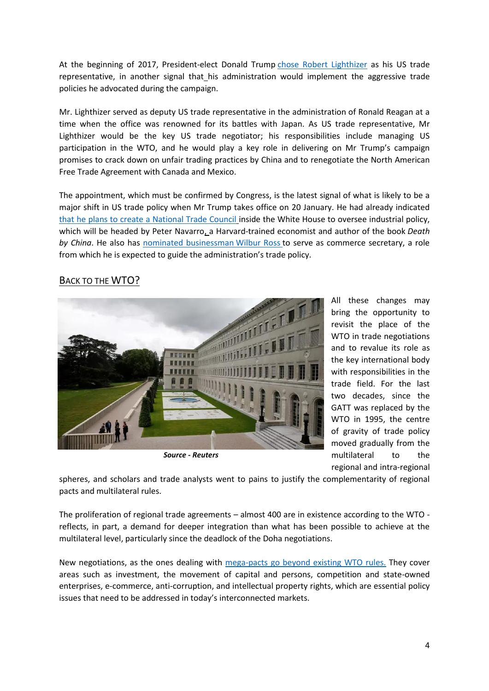At the beginning of 2017, President-elect Donald Trump [chose Robert Lighthizer](https://www.bloomberg.com/politics/articles/2017-01-03/trump-said-to-pick-lighthizer-for-u-s-trade-representative-ixgysdcc) as his US trade representative, in another signal that his administration would implement the aggressive trade policies he advocated during the campaign.

Mr. Lighthizer served as deputy US trade representative in the administration of Ronald Reagan at a time when the office was renowned for its battles with Japan. As US trade representative, Mr Lighthizer would be the key US trade negotiator; his responsibilities include managing US participation in the WTO, and he would play a key role in delivering on Mr Trump's campaign promises to crack down on unfair trading practices by China and to renegotiate the North American Free Trade Agreement with Canada and Mexico.

The appointment, which must be confirmed by Congress, is the latest signal of what is likely to be a major shift in US trade policy when Mr Trump takes office on 20 January. He had already indicated [that he plans to create a National Trade Council](http://www.businessinsider.com/trump-peter-navarro-china-national-trade-council-2016-12) inside the White House to oversee industrial policy, which will be headed by Peter Navarro, a Harvard-trained economist and author of the book *Death by China*. He also has [nominated businessman](http://www.npr.org/sections/thetwo-way/2016/11/30/503253374/trump-taps-billionaire-investor-wilbur-ross-for-commerce-secretary) Wilbur Ross to serve as commerce secretary, a role from which he is expected to guide the administration's trade policy.

### BACK TO THE **WTO**?



*Source - Reuters*

All these changes may bring the opportunity to revisit the place of the WTO in trade negotiations and to revalue its role as the key international body with responsibilities in the trade field. For the last two decades, since the GATT was replaced by the WTO in 1995, the centre of gravity of trade policy moved gradually from the multilateral to the regional and intra-regional

spheres, and scholars and trade analysts went to pains to justify the complementarity of regional pacts and multilateral rules.

The proliferation of regional trade agreements – almost 400 are in existence according to the WTO reflects, in part, a demand for deeper integration than what has been possible to achieve at the multilateral level, particularly since the deadlock of the Doha negotiations.

New negotiations, as the ones dealing with [mega-pacts go beyond existing WTO rules.](http://www.oecd.org/tad/benefitlib/Deep-Provisions-RTA-February-2015.pdf) They cover areas such as investment, the movement of capital and persons, competition and state-owned enterprises, e-commerce, anti-corruption, and intellectual property rights, which are essential policy issues that need to be addressed in today's interconnected markets.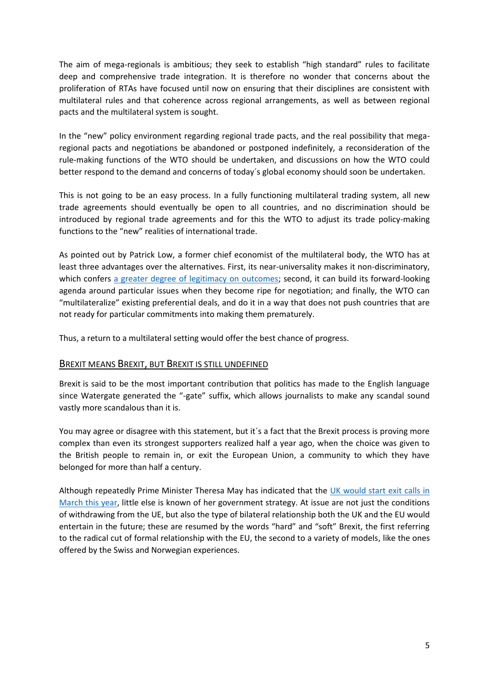The aim of mega-regionals is ambitious; they seek to establish "high standard" rules to facilitate deep and comprehensive trade integration. It is therefore no wonder that concerns about the proliferation of RTAs have focused until now on ensuring that their disciplines are consistent with multilateral rules and that coherence across regional arrangements, as well as between regional pacts and the multilateral system is sought.

In the "new" policy environment regarding regional trade pacts, and the real possibility that megaregional pacts and negotiations be abandoned or postponed indefinitely, a reconsideration of the rule-making functions of the WTO should be undertaken, and discussions on how the WTO could better respond to the demand and concerns of today´s global economy should soon be undertaken.

This is not going to be an easy process. In a fully functioning multilateral trading system, all new trade agreements should eventually be open to all countries, and no discrimination should be introduced by regional trade agreements and for this the WTO to adjust its trade policy-making functions to the "new" realities of international trade.

As pointed out by Patrick Low, a former chief economist of the multilateral body, the WTO has at least three advantages over the alternatives. First, its near-universality makes it non-discriminatory, which confers [a greater degree of legitimacy on outcomes;](http://asia.nikkei.com/Viewpoints/Patrick-Low/R.I.P.-TPP-time-to-turn-back-to-the-WTO?page=2) second, it can build its forward-looking agenda around particular issues when they become ripe for negotiation; and finally, the WTO can "multilateralize" existing preferential deals, and do it in a way that does not push countries that are not ready for particular commitments into making them prematurely.

Thus, a return to a multilateral setting would offer the best chance of progress.

#### BREXIT MEANS BREXIT, BUT BREXIT IS STILL UNDEFINED

Brexit is said to be the most important contribution that politics has made to the English language since Watergate generated the "-gate" suffix, which allows journalists to make any scandal sound vastly more scandalous than it is.

You may agree or disagree with this statement, but it's a fact that the Brexit process is proving more complex than even its strongest supporters realized half a year ago, when the choice was given to the British people to remain in, or exit the European Union, a community to which they have belonged for more than half a century.

Although repeatedly Prime Minister Theresa May has indicated that the [UK would start](http://www.bbc.com/news/uk-politics-37532364) exit calls in [March this year,](http://www.bbc.com/news/uk-politics-37532364) little else is known of her government strategy. At issue are not just the conditions of withdrawing from the UE, but also the type of bilateral relationship both the UK and the EU would entertain in the future; these are resumed by the words "hard" and "soft" Brexit, the first referring to the radical cut of formal relationship with the EU, the second to a variety of models, like the ones offered by the Swiss and Norwegian experiences.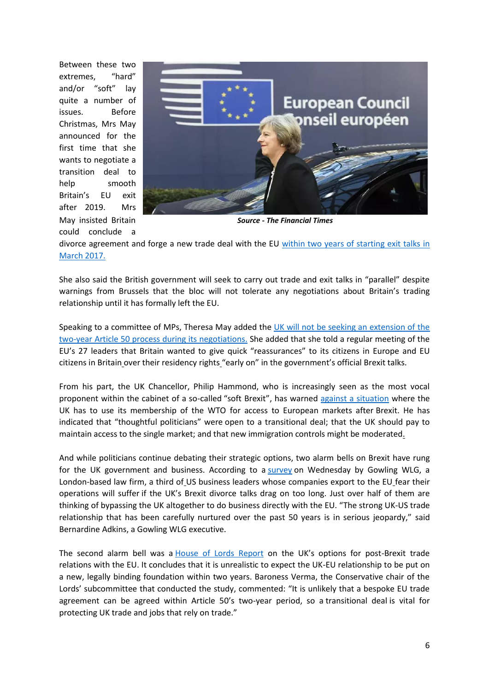Between these two extremes, "hard" and/or "soft" lay quite a number of issues. Before Christmas, Mrs May announced for the first time that she wants to negotiate a transition deal to help smooth Britain's EU exit after 2019. Mrs May insisted Britain could conclude a



*Source - The Financial Times*

divorce agreement and forge a new trade deal with the EU [within two years of starting exit talks](http://www.telegraph.co.uk/news/2016/11/21/theresa-may-cbi-corporation-tax-brexit-live/) in [March 2017.](http://www.telegraph.co.uk/news/2016/11/21/theresa-may-cbi-corporation-tax-brexit-live/)

She also said the British government will seek to carry out trade and exit talks in "parallel" despite warnings from Brussels that the bloc will not tolerate any negotiations about Britain's trading relationship until it has formally left the EU.

Speaking to a committee of MPs, Theresa May added the [UK will not be seeking an extension of the](https://www.bloomberg.com/news/articles/2016-12-06/eu-said-to-mull-seeking-post-brexit-deal-before-transition-talk)  [two-year Article 50 process during its negotiations.](https://www.bloomberg.com/news/articles/2016-12-06/eu-said-to-mull-seeking-post-brexit-deal-before-transition-talk) She added that she told a regular meeting of the EU's 27 leaders that Britain wanted to give quick "reassurances" to its citizens in Europe and EU citizens in Britain over their residency rights "early on" in the government's official Brexit talks.

From his part, the UK Chancellor, Philip Hammond, who is increasingly seen as the most vocal proponent within the cabinet of a so-called "soft Brexit", has warned [against a situation](http://www.telegraph.co.uk/news/2016/12/16/reliance-wto-rules-afterbrexit-not-favoured-option-britain-says/) where the UK has to use its membership of the WTO for access to European markets after Brexit. He has indicated that "thoughtful politicians" were open to a transitional deal; that the UK should pay to maintain access to the single market; and that new immigration controls might be moderated.

And while politicians continue debating their strategic options, two alarm bells on Brexit have rung for the UK government and business. According to a [survey](http://www.reuters.com/article/us-britain-eu-usa-companies-idUSKBN14300G) on Wednesday by Gowling WLG, a London-based law firm, a third of US business leaders whose companies export to the EU fear their operations will suffer if the UK's Brexit divorce talks drag on too long. Just over half of them are thinking of bypassing the UK altogether to do business directly with the EU. "The strong UK-US trade relationship that has been carefully nurtured over the past 50 years is in serious jeopardy," said Bernardine Adkins, a Gowling WLG executive.

The second alarm bell was a **[House of Lords Report](http://www.publications.parliament.uk/pa/ld201617/ldselect/ldeucom/72/7202.htm)** on the UK's options for post-Brexit trade relations with the EU. It concludes that it is unrealistic to expect the UK-EU relationship to be put on a new, legally binding foundation within two years. Baroness Verma, the Conservative chair of the Lords' subcommittee that conducted the study, commented: "It is unlikely that a bespoke EU trade agreement can be agreed within Article 50's two-year period, so a transitional deal is vital for protecting UK trade and jobs that rely on trade."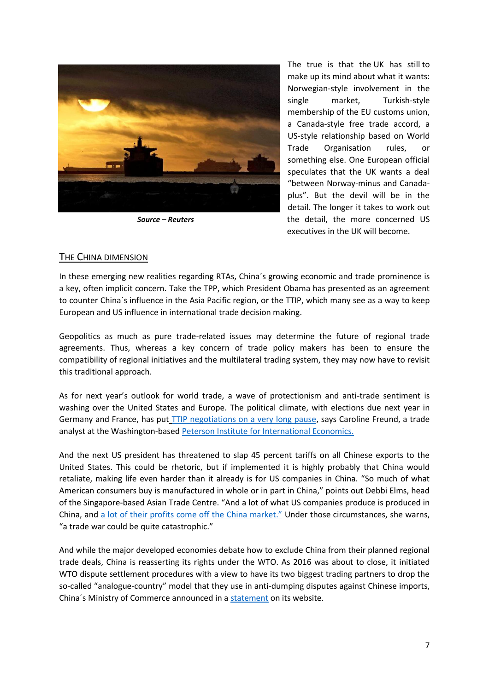

*Source – Reuters*

The true is that the UK has still to make up its mind about what it wants: Norwegian-style involvement in the single market, Turkish-style membership of the EU customs union, a Canada-style free trade accord, a US-style relationship based on World Trade Organisation rules, or something else. One European official speculates that the UK wants a deal "between Norway-minus and Canadaplus". But the devil will be in the detail. The longer it takes to work out the detail, the more concerned US executives in the UK will become.

#### THE CHINA DIMENSION

In these emerging new realities regarding RTAs, China´s growing economic and trade prominence is a key, often implicit concern. Take the TPP, which President Obama has presented as an agreement to counter China´s influence in the Asia Pacific region, or the TTIP, which many see as a way to keep European and US influence in international trade decision making.

Geopolitics as much as pure trade-related issues may determine the future of regional trade agreements. Thus, whereas a key concern of trade policy makers has been to ensure the compatibility of regional initiatives and the multilateral trading system, they may now have to revisit this traditional approach.

As for next year's outlook for world trade, a wave of protectionism and anti-trade sentiment is washing over the United States and Europe. The political climate, with elections due next year in Germany and France, has put [TTIP negotiations on a very long pause,](http://www.csmonitor.com/World/2016/1226/2017-promises-US-China-tensions-resurgent-Russia-and-trade-turbulence) says Caroline Freund, a trade analyst at the Washington-base[d Peterson Institute for International Economics.](https://piie.com/)

And the next US president has threatened to slap 45 percent tariffs on all Chinese exports to the United States. This could be rhetoric, but if implemented it is highly probably that China would retaliate, making life even harder than it already is for US companies in China. "So much of what American consumers buy is manufactured in whole or in part in China," points out Debbi Elms, head of the Singapore-based Asian Trade Centre. "And a lot of what US companies produce is produced in China, and [a lot of their profits come off the China market."](http://www.csmonitor.com/World/2016/1226/2017-promises-US-China-tensions-resurgent-Russia-and-trade-turbulence) Under those circumstances, she warns, "a trade war could be quite catastrophic."

And while the major developed economies debate how to exclude China from their planned regional trade deals, China is reasserting its rights under the WTO. As 2016 was about to close, it initiated WTO dispute settlement procedures with a view to have its two biggest trading partners to drop the so-called "analogue-country" model that they use in anti-dumping disputes against Chinese imports, China´s Ministry of Commerce announced in a [statement](http://www.mofcom.gov.cn/article/ae/ag/201612/20161202169769.shtml) on its website.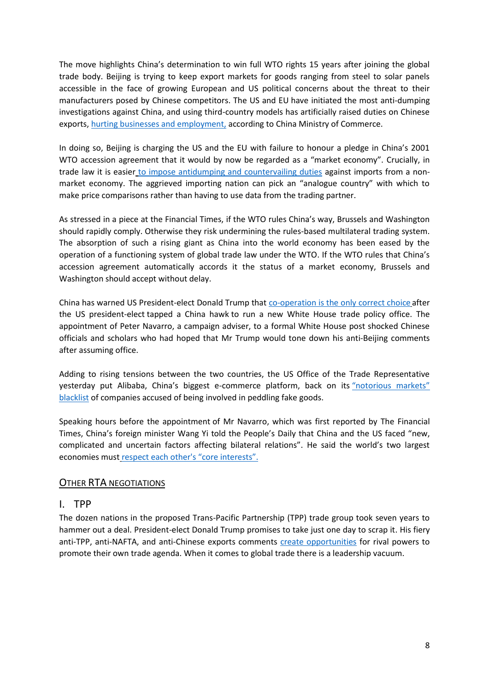The move highlights China's determination to win full WTO rights 15 years after joining the global trade body. Beijing is trying to keep export markets for goods ranging from steel to solar panels accessible in the face of growing European and US political concerns about the threat to their manufacturers posed by Chinese competitors. The US and EU have initiated the most anti-dumping investigations against China, and using third-country models has artificially raised duties on Chinese exports, [hurting businesses and employment,](https://www.bloomberg.com/news/articles/2016-12-12/china-starts-wto-dispute-against-tariff-methods-used-by-eu-u-s) according to China Ministry of Commerce.

In doing so, Beijing is charging the US and the EU with failure to honour a pledge in China's 2001 WTO accession agreement that it would by now be regarded as a "market economy". Crucially, in trade law it is easier [to impose antidumping and countervailing duties](https://www.weforum.org/agenda/2016/06/why-are-the-eu-and-the-us-still-penalizing-china-in-global-trade) against imports from a nonmarket economy. The aggrieved importing nation can pick an "analogue country" with which to make price comparisons rather than having to use data from the trading partner.

As stressed in a piece at the Financial Times, if the WTO rules China's way, Brussels and Washington should rapidly comply. Otherwise they risk undermining the rules-based multilateral trading system. The absorption of such a rising giant as China into the world economy has been eased by the operation of a functioning system of global trade law under the WTO. If the WTO rules that China's accession agreement automatically accords it the status of a market economy, Brussels and Washington should accept without delay.

China has warned US President-elect Donald Trump that [co-operation is the only correct choice](http://www.businessinsider.com/davos-xi-jinping-trump-china-trade-war-2017-1) after the US president-elect tapped a China hawk to run a new White House trade policy office. The appointment of Peter Navarro, a campaign adviser, to a formal White House post shocked Chinese officials and scholars who had hoped that Mr Trump would tone down his anti-Beijing comments after assuming office.

Adding to rising tensions between the two countries, the US Office of the Trade Representative yesterday put Alibaba, China's biggest e-commerce platform, back on its ["notorious markets"](http://money.cnn.com/2016/12/22/technology/alibaba-notorious-markets-fake-goods-us-trade/)  [blacklist](http://money.cnn.com/2016/12/22/technology/alibaba-notorious-markets-fake-goods-us-trade/) of companies accused of being involved in peddling fake goods.

Speaking hours before the appointment of Mr Navarro, which was first reported by The Financial Times, China's foreign minister Wang Yi told the People's Daily that China and the US faced "new, complicated and uncertain factors affecting bilateral relations". He said the world's two largest economies must [respect each other's "](http://www.voanews.com/a/china-warning_taiwan-trump/3646467.html)core interests".

#### OTHER RTA NEGOTIATIONS

#### I. TPP

The dozen nations in the proposed Trans-Pacific Partnership (TPP) trade group took seven years to hammer out a deal. President-elect Donald Trump promises to take just one day to scrap it. His fiery anti-TPP, anti-NAFTA, and anti-Chinese exports comments [create opportunities](https://www.bloomberg.com/news/articles/2016-12-01/russia-china-and-japan-fill-the-trump-trade-gap) for rival powers to promote their own trade agenda. When it comes to global trade there is a leadership vacuum.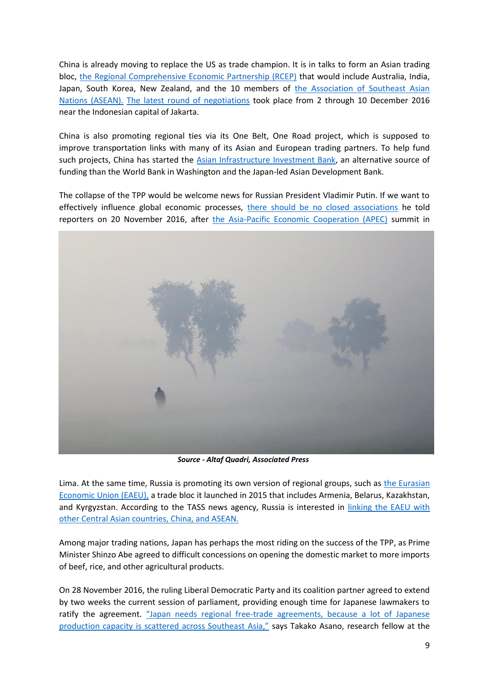China is already moving to replace the US as trade champion. It is in talks to form an Asian trading bloc, [the Regional Comprehensive Economic Partnership \(RCEP\)](http://dfat.gov.au/trade/agreements/rcep/Pages/regional-comprehensive-economic-partnership.aspx) that would include Australia, India, Japan, South Korea, New Zealand, and the 10 members of [the Association of Southeast Asian](http://asean.org/)  [Nations \(ASEAN\).](http://asean.org/) [The latest round of negotiations](https://www.bloomberg.com/news/articles/2016-12-01/russia-china-and-japan-fill-the-trump-trade-gap) took place from 2 through 10 December 2016 near the Indonesian capital of Jakarta.

China is also promoting regional ties via its One Belt, One Road project, which is supposed to improve transportation links with many of its Asian and European trading partners. To help fund such projects, China has started the [Asian Infrastructure Investment Bank,](https://www.aiib.org/en/index.html) an alternative source of funding than the World Bank in Washington and the Japan-led Asian Development Bank.

The collapse of the TPP would be welcome news for Russian President Vladimir Putin. If we want to effectively influence global economic processes, [there should be no closed associations](https://www.bloomberg.com/news/articles/2016-12-01/russia-china-and-japan-fill-the-trump-trade-gap) he told reporters on 20 November 2016, after [the Asia-Pacific Economic Cooperation \(APEC\)](http://www.apec.org/) summit in



*Source - Altaf Quadri, Associated Press*

Lima. At the same time, Russia is promoting its own version of regional groups, such as [the Eurasian](http://www.eaeunion.org/?lang=en)  [Economic Union \(EAEU\),](http://www.eaeunion.org/?lang=en) a trade bloc it launched in 2015 that includes Armenia, Belarus, Kazakhstan, and Kyrgyzstan. According to the TASS news agency, Russia is interested in [linking the EAEU with](https://www.bloomberg.com/news/articles/2016-12-01/russia-china-and-japan-fill-the-trump-trade-gap)  [other Central Asian countries, China, and ASEAN.](https://www.bloomberg.com/news/articles/2016-12-01/russia-china-and-japan-fill-the-trump-trade-gap)

Among major trading nations, Japan has perhaps the most riding on the success of the TPP, as Prime Minister Shinzo Abe agreed to difficult concessions on opening the domestic market to more imports of beef, rice, and other agricultural products.

On 28 November 2016, the ruling Liberal Democratic Party and its coalition partner agreed to extend by two weeks the current session of parliament, providing enough time for Japanese lawmakers to ratify the agreement. "Japan needs regional free[-trade agreements, because a lot of Japanese](https://www.bloomberg.com/news/articles/2016-12-01/russia-china-and-japan-fill-the-trump-trade-gap)  [production capacity is scattered across Southeast Asia,"](https://www.bloomberg.com/news/articles/2016-12-01/russia-china-and-japan-fill-the-trump-trade-gap) says Takako Asano, research fellow at the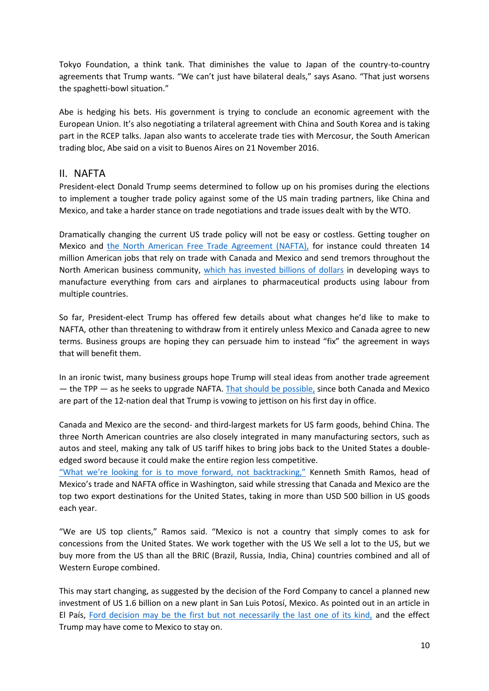Tokyo Foundation, a think tank. That diminishes the value to Japan of the country-to-country agreements that Trump wants. "We can't just have bilateral deals," says Asano. "That just worsens the spaghetti-bowl situation."

Abe is hedging his bets. His government is trying to conclude an economic agreement with the European Union. It's also negotiating a trilateral agreement with China and South Korea and is taking part in the RCEP talks. Japan also wants to accelerate trade ties with Mercosur, the South American trading bloc, Abe said on a visit to Buenos Aires on 21 November 2016.

#### II. NAFTA

President-elect Donald Trump seems determined to follow up on his promises during the elections to implement a tougher trade policy against some of the US main trading partners, like China and Mexico, and take a harder stance on trade negotiations and trade issues dealt with by the WTO.

Dramatically changing the current US trade policy will not be easy or costless. Getting tougher on Mexico and the North American [Free Trade Agreement \(NAFTA\),](http://www.international.gc.ca/trade-agreements-accords-commerciaux/agr-acc/nafta-alena/index.aspx?lang=eng) for instance could threaten 14 million American jobs that rely on trade with Canada and Mexico and send tremors throughout the North American business community, [which has invested billions of dollars](http://www.politico.com/story/2016/12/donald-trump-nafta-232992) in developing ways to manufacture everything from cars and airplanes to pharmaceutical products using labour from multiple countries.

So far, President-elect Trump has offered few details about what changes he'd like to make to NAFTA, other than threatening to withdraw from it entirely unless Mexico and Canada agree to new terms. Business groups are hoping they can persuade him to instead "fix" the agreement in ways that will benefit them.

In an ironic twist, many business groups hope Trump will steal ideas from another trade agreement — the TPP — as he seeks to upgrade NAFTA. [That should be possible,](http://www.politico.com/story/2016/12/donald-trump-nafta-232992) since both Canada and Mexico are part of the 12-nation deal that Trump is vowing to jettison on his first day in office.

Canada and Mexico are the second- and third-largest markets for US farm goods, behind China. The three North American countries are also closely integrated in many manufacturing sectors, such as autos and steel, making any talk of US tariff hikes to bring jobs back to the United States a doubleedged sword because it could make the entire region less competitive.

["What we're looking for is to move forward, not backtracking,"](http://www.politico.com/story/2016/12/donald-trump-nafta-232992) Kenneth Smith Ramos, head of Mexico's trade and NAFTA office in Washington, said while stressing that Canada and Mexico are the top two export destinations for the United States, taking in more than USD 500 billion in US goods each year.

"We are US top clients," Ramos said. "Mexico is not a country that simply comes to ask for concessions from the United States. We work together with the US We sell a lot to the US, but we buy more from the US than all the BRIC (Brazil, Russia, India, China) countries combined and all of Western Europe combined.

This may start changing, as suggested by the decision of the Ford Company to cancel a planned new investment of US 1.6 billion on a new plant in San Luis Potosí, Mexico. As pointed out in an article in El País, [Ford decision may be the first but not necessarily the last one of its kind,](http://economia.elpais.com/economia/2017/01/03/actualidad/1483471209_603977.html) and the effect Trump may have come to Mexico to stay on.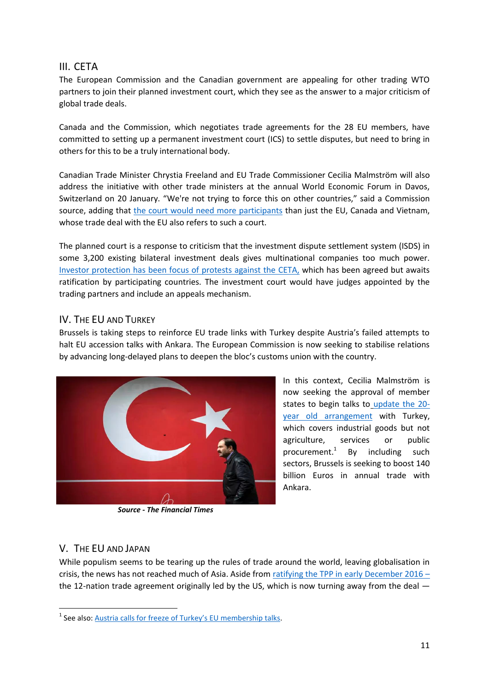## III. CETA

The European Commission and the Canadian government are appealing for other trading WTO partners to join their planned investment court, which they see as the answer to a major criticism of global trade deals.

Canada and the Commission, which negotiates trade agreements for the 28 EU members, have committed to setting up a permanent investment court (ICS) to settle disputes, but need to bring in others for this to be a truly international body.

Canadian Trade Minister Chrystia Freeland and EU Trade Commissioner Cecilia Malmström will also address the initiative with other trade ministers at the annual World Economic Forum in Davos, Switzerland on 20 January. "We're not trying to force this on other countries," said a Commission source, adding that [the court would need more participants](http://www.bnn.ca/canada-eu-seeking-partners-for-trade-investment-court-1.630471) than just the EU, Canada and Vietnam, whose trade deal with the EU also refers to such a court.

The planned court is a response to criticism that the investment dispute settlement system (ISDS) in some 3,200 existing bilateral investment deals gives multinational companies too much power. [Investor protection has been focus of protests against the CETA,](http://www.bnn.ca/canada-eu-seeking-partners-for-trade-investment-court-1.630471) which has been agreed but awaits ratification by participating countries. The investment court would have judges appointed by the trading partners and include an appeals mechanism.

#### IV. THE EU AND TURKEY

Brussels is taking steps to reinforce EU trade links with Turkey despite Austria's failed attempts to halt EU accession talks with Ankara. The European Commission is now seeking to stabilise relations by advancing long-delayed plans to deepen the bloc's customs union with the country.



*Source - The Financial Times*

In this context, Cecilia Malmström is now seeking the approval of member states to begin talks to [update the 20](https://www.ft.com/content/bdbcc9b8-8e49-3c72-95b2-b2d5687a67cc) [year old arrangement](https://www.ft.com/content/bdbcc9b8-8e49-3c72-95b2-b2d5687a67cc) with Turkey, which covers industrial goods but not agriculture, services or public procurement.<sup>1</sup> By including such sectors, Brussels is seeking to boost 140 billion Euros in annual trade with Ankara.

#### V. THE EU AND JAPAN

1

While populism seems to be tearing up the rules of trade around the world, leaving globalisation in crisis, the news has not reached much of Asia. Aside from ratifying the TPP in early December  $2016$ the 12-nation trade agreement originally led by the US, which is now turning away from the deal —

<sup>&</sup>lt;sup>1</sup> See also: Austria calls for freeze o[f Turkey's EU membership talks](https://www.ft.com/content/50d788d6-c14c-11e6-81c2-f57d90f6741a).